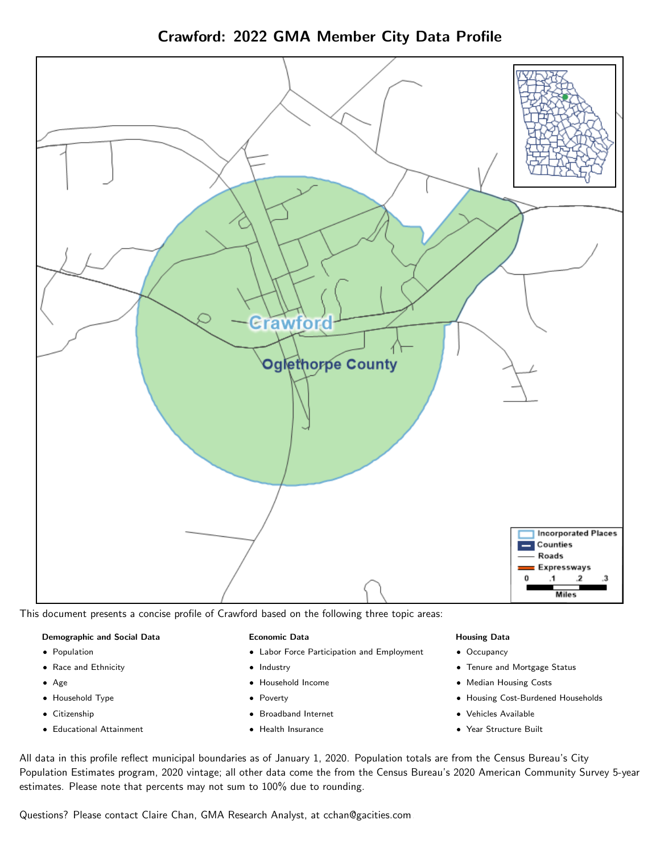

Crawford: 2022 GMA Member City Data Profile

This document presents a concise profile of Crawford based on the following three topic areas:

#### Demographic and Social Data

- **•** Population
- Race and Ethnicity
- Age
- Household Type
- **Citizenship**
- Educational Attainment

#### Economic Data

- Labor Force Participation and Employment
- Industry
- Household Income
- Poverty
- Broadband Internet
- Health Insurance

#### Housing Data

- Occupancy
- Tenure and Mortgage Status
- Median Housing Costs
- Housing Cost-Burdened Households
- Vehicles Available
- Year Structure Built

All data in this profile reflect municipal boundaries as of January 1, 2020. Population totals are from the Census Bureau's City Population Estimates program, 2020 vintage; all other data come the from the Census Bureau's 2020 American Community Survey 5-year estimates. Please note that percents may not sum to 100% due to rounding.

Questions? Please contact Claire Chan, GMA Research Analyst, at [cchan@gacities.com.](mailto:cchan@gacities.com)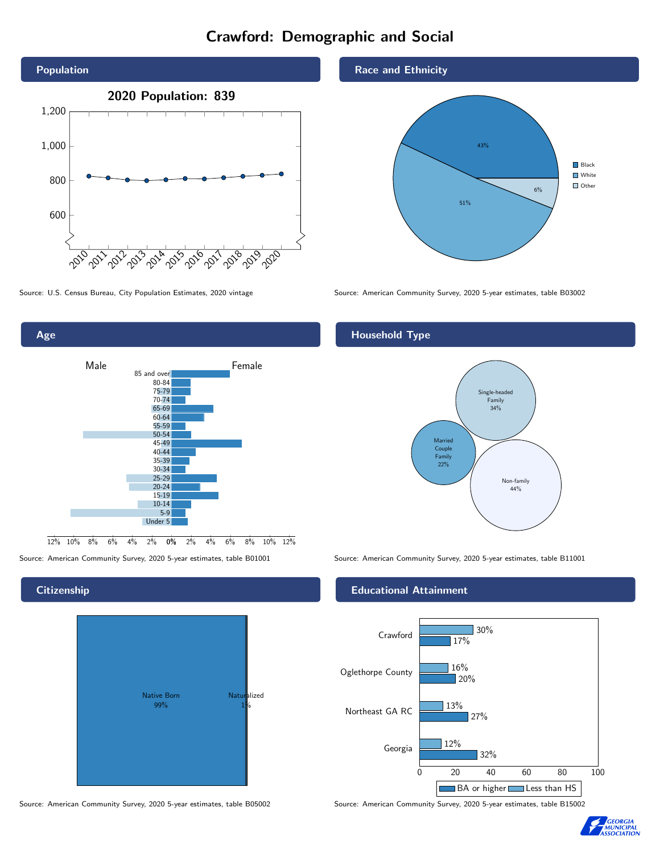# Crawford: Demographic and Social





#### **Citizenship**



Race and Ethnicity



Source: U.S. Census Bureau, City Population Estimates, 2020 vintage Source: American Community Survey, 2020 5-year estimates, table B03002

#### Household Type



Source: American Community Survey, 2020 5-year estimates, table B01001 Source: American Community Survey, 2020 5-year estimates, table B11001

#### Educational Attainment



Source: American Community Survey, 2020 5-year estimates, table B05002 Source: American Community Survey, 2020 5-year estimates, table B15002

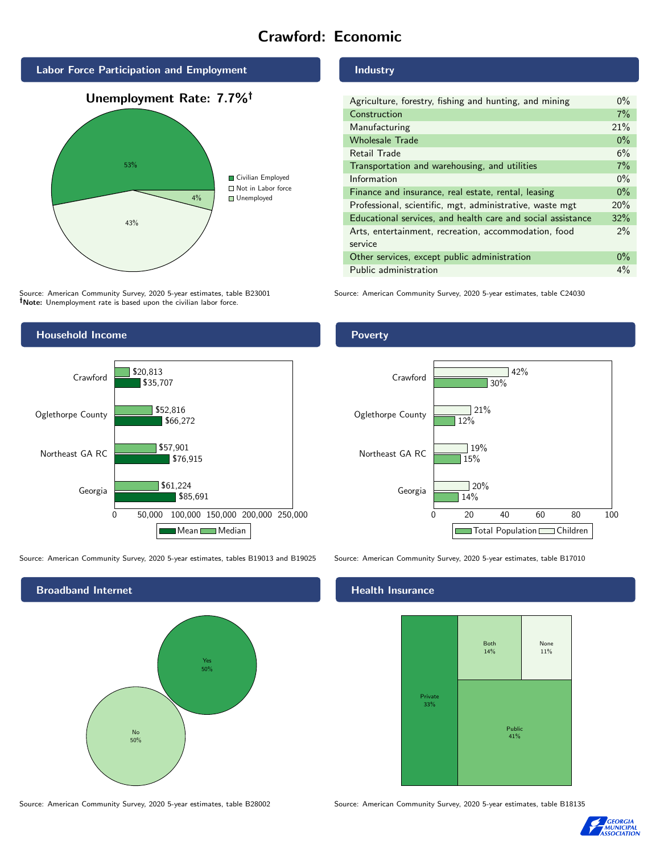# Crawford: Economic



Source: American Community Survey, 2020 5-year estimates, table B23001 Note: Unemployment rate is based upon the civilian labor force.



Source: American Community Survey, 2020 5-year estimates, tables B19013 and B19025 Source: American Community Survey, 2020 5-year estimates, table B17010

Broadband Internet No 50% Yes 50%

#### Industry

| Agriculture, forestry, fishing and hunting, and mining      | $0\%$ |
|-------------------------------------------------------------|-------|
| Construction                                                | 7%    |
| Manufacturing                                               | 21%   |
| <b>Wholesale Trade</b>                                      | $0\%$ |
| <b>Retail Trade</b>                                         | 6%    |
| Transportation and warehousing, and utilities               | 7%    |
| Information                                                 | $0\%$ |
| Finance and insurance, real estate, rental, leasing         | $0\%$ |
| Professional, scientific, mgt, administrative, waste mgt    | 20%   |
| Educational services, and health care and social assistance | 32%   |
| Arts, entertainment, recreation, accommodation, food        | $2\%$ |
| service                                                     |       |
| Other services, except public administration                | $0\%$ |
| Public administration                                       | $4\%$ |

Source: American Community Survey, 2020 5-year estimates, table C24030

#### Poverty



#### Health Insurance



Source: American Community Survey, 2020 5-year estimates, table B28002 Source: American Community Survey, 2020 5-year estimates, table B18135